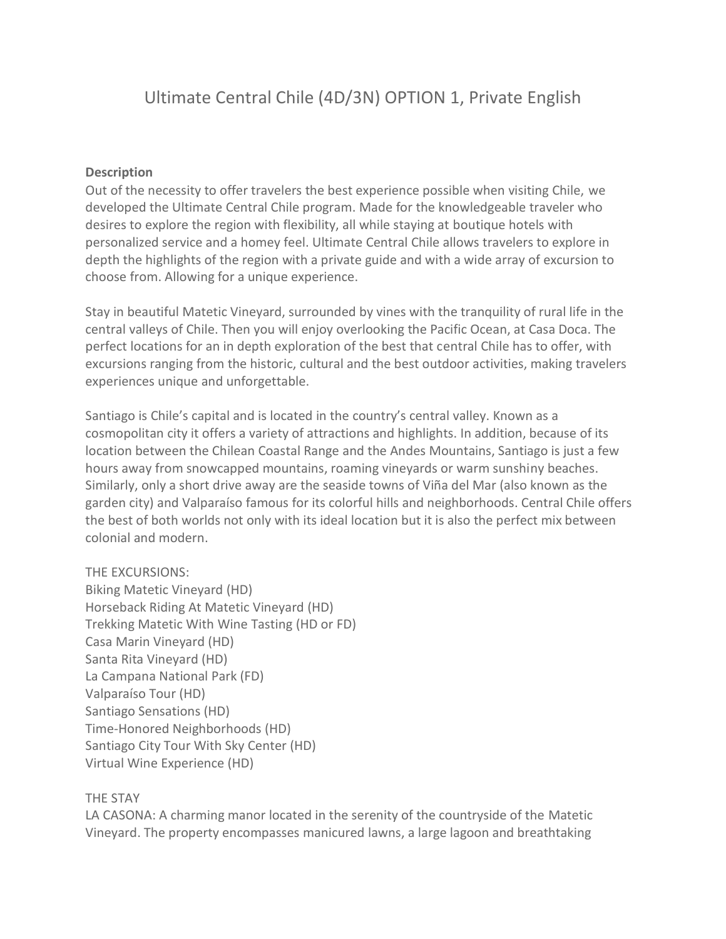# Ultimate Central Chile (4D/3N) OPTION 1, Private English

### **Description**

Out of the necessity to offer travelers the best experience possible when visiting Chile, we developed the Ultimate Central Chile program. Made for the knowledgeable traveler who desires to explore the region with flexibility, all while staying at boutique hotels with personalized service and a homey feel. Ultimate Central Chile allows travelers to explore in depth the highlights of the region with a private guide and with a wide array of excursion to choose from. Allowing for a unique experience.

Stay in beautiful Matetic Vineyard, surrounded by vines with the tranquility of rural life in the central valleys of Chile. Then you will enjoy overlooking the Pacific Ocean, at Casa Doca. The perfect locations for an in depth exploration of the best that central Chile has to offer, with excursions ranging from the historic, cultural and the best outdoor activities, making travelers experiences unique and unforgettable.

Santiago is Chile's capital and is located in the country's central valley. Known as a cosmopolitan city it offers a variety of attractions and highlights. In addition, because of its location between the Chilean Coastal Range and the Andes Mountains, Santiago is just a few hours away from snowcapped mountains, roaming vineyards or warm sunshiny beaches. Similarly, only a short drive away are the seaside towns of Viña del Mar (also known as the garden city) and Valparaíso famous for its colorful hills and neighborhoods. Central Chile offers the best of both worlds not only with its ideal location but it is also the perfect mix between colonial and modern.

### THE EXCURSIONS:

Biking Matetic Vineyard (HD) Horseback Riding At Matetic Vineyard (HD) Trekking Matetic With Wine Tasting (HD or FD) Casa Marin Vineyard (HD) Santa Rita Vineyard (HD) La Campana National Park (FD) Valparaíso Tour (HD) Santiago Sensations (HD) Time-Honored Neighborhoods (HD) Santiago City Tour With Sky Center (HD) Virtual Wine Experience (HD)

#### THE STAY

LA CASONA: A charming manor located in the serenity of the countryside of the Matetic Vineyard. The property encompasses manicured lawns, a large lagoon and breathtaking